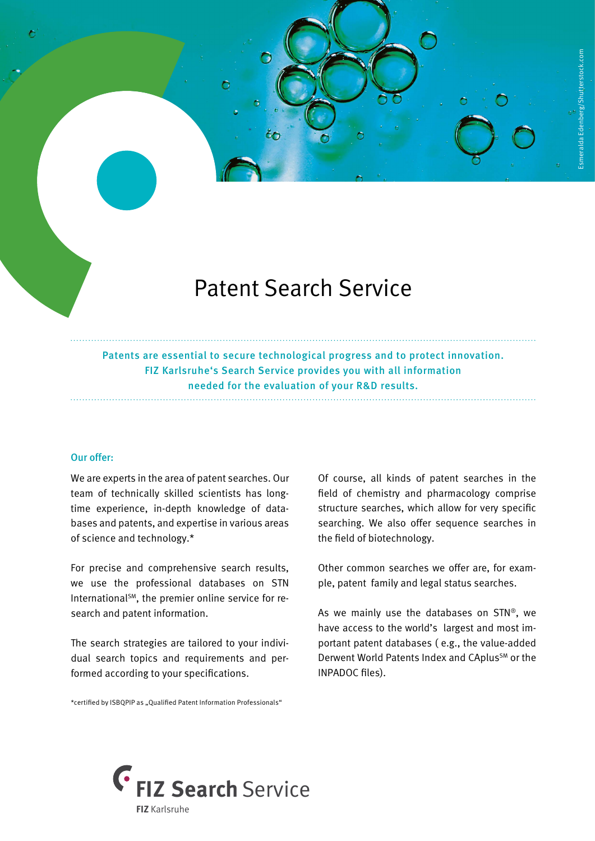

## Patent Search Service

Patents are essential to secure technological progress and to protect innovation. FIZ Karlsruhe's Search Service provides you with all information needed for the evaluation of your R&D results.

## Our offer:

We are experts in the area of patent searches. Our team of technically skilled scientists has longtime experience, in-depth knowledge of databases and patents, and expertise in various areas of science and technology.\*

For precise and comprehensive search results, we use the professional databases on STN International<sup>SM</sup>, the premier online service for research and patent information.

The search strategies are tailored to your individual search topics and requirements and performed according to your specifications.

\*certified by ISBQPIP as "Qualified Patent Information Professionals"

Of course, all kinds of patent searches in the field of chemistry and pharmacology comprise structure searches, which allow for very specific searching. We also offer sequence searches in the field of biotechnology.

Other common searches we offer are, for example, patent family and legal status searches.

As we mainly use the databases on STN®, we have access to the world's largest and most important patent databases ( e.g., the value-added Derwent World Patents Index and CAplus<sup>SM</sup> or the INPADOC files).